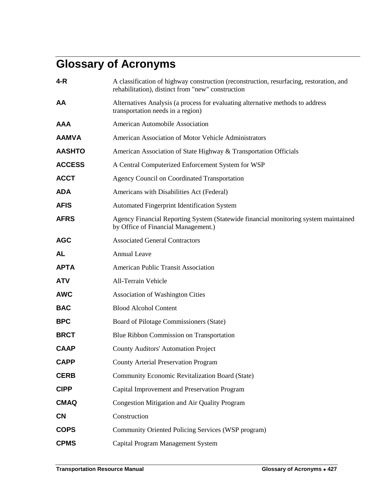## **Glossary of Acronyms**

| 4-R           | A classification of highway construction (reconstruction, resurfacing, restoration, and<br>rehabilitation), distinct from "new" construction |
|---------------|----------------------------------------------------------------------------------------------------------------------------------------------|
| AA            | Alternatives Analysis (a process for evaluating alternative methods to address<br>transportation needs in a region)                          |
| AAA           | American Automobile Association                                                                                                              |
| <b>AAMVA</b>  | American Association of Motor Vehicle Administrators                                                                                         |
| <b>AASHTO</b> | American Association of State Highway & Transportation Officials                                                                             |
| <b>ACCESS</b> | A Central Computerized Enforcement System for WSP                                                                                            |
| <b>ACCT</b>   | <b>Agency Council on Coordinated Transportation</b>                                                                                          |
| <b>ADA</b>    | Americans with Disabilities Act (Federal)                                                                                                    |
| <b>AFIS</b>   | <b>Automated Fingerprint Identification System</b>                                                                                           |
| <b>AFRS</b>   | Agency Financial Reporting System (Statewide financial monitoring system maintained<br>by Office of Financial Management.)                   |
| <b>AGC</b>    | <b>Associated General Contractors</b>                                                                                                        |
| AL            | <b>Annual Leave</b>                                                                                                                          |
| ΑΡΤΑ          | <b>American Public Transit Association</b>                                                                                                   |
| ATV           | All-Terrain Vehicle                                                                                                                          |
| <b>AWC</b>    | <b>Association of Washington Cities</b>                                                                                                      |
| <b>BAC</b>    | <b>Blood Alcohol Content</b>                                                                                                                 |
| <b>BPC</b>    | Board of Pilotage Commissioners (State)                                                                                                      |
| <b>BRCT</b>   | Blue Ribbon Commission on Transportation                                                                                                     |
| <b>CAAP</b>   | <b>County Auditors' Automation Project</b>                                                                                                   |
| <b>CAPP</b>   | <b>County Arterial Preservation Program</b>                                                                                                  |
| <b>CERB</b>   | Community Economic Revitalization Board (State)                                                                                              |
| <b>CIPP</b>   | Capital Improvement and Preservation Program                                                                                                 |
| <b>CMAQ</b>   | Congestion Mitigation and Air Quality Program                                                                                                |
| <b>CN</b>     | Construction                                                                                                                                 |
| <b>COPS</b>   | Community Oriented Policing Services (WSP program)                                                                                           |
| <b>CPMS</b>   | Capital Program Management System                                                                                                            |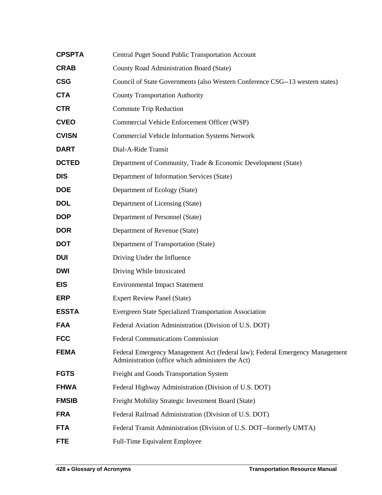| <b>CPSPTA</b> | <b>Central Puget Sound Public Transportation Account</b>                                                                          |
|---------------|-----------------------------------------------------------------------------------------------------------------------------------|
| <b>CRAB</b>   | County Road Administration Board (State)                                                                                          |
| <b>CSG</b>    | Council of State Governments (also Western Conference CSG--13 western states)                                                     |
| <b>CTA</b>    | <b>County Transportation Authority</b>                                                                                            |
| <b>CTR</b>    | Commute Trip Reduction                                                                                                            |
| <b>CVEO</b>   | Commercial Vehicle Enforcement Officer (WSP)                                                                                      |
| <b>CVISN</b>  | <b>Commercial Vehicle Information Systems Network</b>                                                                             |
| <b>DART</b>   | Dial-A-Ride Transit                                                                                                               |
| <b>DCTED</b>  | Department of Community, Trade & Economic Development (State)                                                                     |
| <b>DIS</b>    | Department of Information Services (State)                                                                                        |
| <b>DOE</b>    | Department of Ecology (State)                                                                                                     |
| <b>DOL</b>    | Department of Licensing (State)                                                                                                   |
| <b>DOP</b>    | Department of Personnel (State)                                                                                                   |
| <b>DOR</b>    | Department of Revenue (State)                                                                                                     |
| <b>DOT</b>    | Department of Transportation (State)                                                                                              |
| <b>DUI</b>    | Driving Under the Influence                                                                                                       |
| <b>DWI</b>    | Driving While Intoxicated                                                                                                         |
| <b>EIS</b>    | <b>Environmental Impact Statement</b>                                                                                             |
| <b>ERP</b>    | <b>Expert Review Panel (State)</b>                                                                                                |
| <b>ESSTA</b>  | <b>Evergreen State Specialized Transportation Association</b>                                                                     |
| <b>FAA</b>    | Federal Aviation Administration (Division of U.S. DOT)                                                                            |
| <b>FCC</b>    | <b>Federal Communications Commission</b>                                                                                          |
| <b>FEMA</b>   | Federal Emergency Management Act (federal law); Federal Emergency Management<br>Administration (office which administers the Act) |
| <b>FGTS</b>   | Freight and Goods Transportation System                                                                                           |
| <b>FHWA</b>   | Federal Highway Administration (Division of U.S. DOT)                                                                             |
| <b>FMSIB</b>  | Freight Mobility Strategic Investment Board (State)                                                                               |
| <b>FRA</b>    | Federal Railroad Administration (Division of U.S. DOT)                                                                            |
| <b>FTA</b>    | Federal Transit Administration (Division of U.S. DOT--formerly UMTA)                                                              |
| <b>FTE</b>    | Full-Time Equivalent Employee                                                                                                     |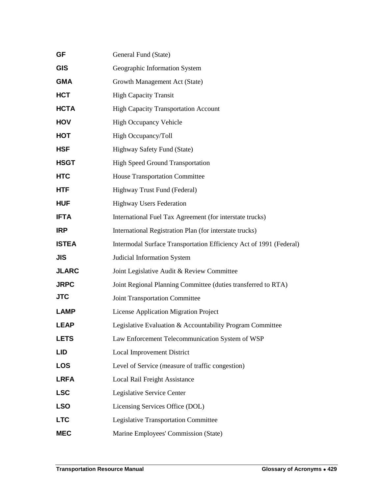| <b>GF</b>    | General Fund (State)                                               |
|--------------|--------------------------------------------------------------------|
| <b>GIS</b>   | Geographic Information System                                      |
| <b>GMA</b>   | Growth Management Act (State)                                      |
| <b>HCT</b>   | <b>High Capacity Transit</b>                                       |
| <b>HCTA</b>  | <b>High Capacity Transportation Account</b>                        |
| <b>HOV</b>   | <b>High Occupancy Vehicle</b>                                      |
| HOT          | High Occupancy/Toll                                                |
| <b>HSF</b>   | Highway Safety Fund (State)                                        |
| <b>HSGT</b>  | <b>High Speed Ground Transportation</b>                            |
| <b>HTC</b>   | <b>House Transportation Committee</b>                              |
| <b>HTF</b>   | Highway Trust Fund (Federal)                                       |
| <b>HUF</b>   | <b>Highway Users Federation</b>                                    |
| <b>IFTA</b>  | International Fuel Tax Agreement (for interstate trucks)           |
| <b>IRP</b>   | International Registration Plan (for interstate trucks)            |
| <b>ISTEA</b> | Intermodal Surface Transportation Efficiency Act of 1991 (Federal) |
| <b>JIS</b>   | Judicial Information System                                        |
| <b>JLARC</b> | Joint Legislative Audit & Review Committee                         |
| <b>JRPC</b>  | Joint Regional Planning Committee (duties transferred to RTA)      |
| <b>JTC</b>   | <b>Joint Transportation Committee</b>                              |
| <b>LAMP</b>  | <b>License Application Migration Project</b>                       |
| <b>LEAP</b>  | Legislative Evaluation & Accountability Program Committee          |
| <b>LETS</b>  | Law Enforcement Telecommunication System of WSP                    |
| <b>LID</b>   | <b>Local Improvement District</b>                                  |
| <b>LOS</b>   | Level of Service (measure of traffic congestion)                   |
| <b>LRFA</b>  | Local Rail Freight Assistance                                      |
| <b>LSC</b>   | Legislative Service Center                                         |
| <b>LSO</b>   | Licensing Services Office (DOL)                                    |
| <b>LTC</b>   | <b>Legislative Transportation Committee</b>                        |
| <b>MEC</b>   | Marine Employees' Commission (State)                               |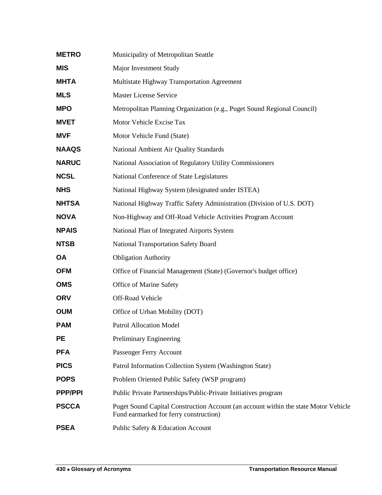| <b>METRO</b>   | Municipality of Metropolitan Seattle                                                                                          |
|----------------|-------------------------------------------------------------------------------------------------------------------------------|
| <b>MIS</b>     | Major Investment Study                                                                                                        |
| <b>MHTA</b>    | Multistate Highway Transportation Agreement                                                                                   |
| <b>MLS</b>     | <b>Master License Service</b>                                                                                                 |
| <b>MPO</b>     | Metropolitan Planning Organization (e.g., Puget Sound Regional Council)                                                       |
| <b>MVET</b>    | Motor Vehicle Excise Tax                                                                                                      |
| <b>MVF</b>     | Motor Vehicle Fund (State)                                                                                                    |
| <b>NAAQS</b>   | National Ambient Air Quality Standards                                                                                        |
| <b>NARUC</b>   | National Association of Regulatory Utility Commissioners                                                                      |
| <b>NCSL</b>    | National Conference of State Legislatures                                                                                     |
| <b>NHS</b>     | National Highway System (designated under ISTEA)                                                                              |
| <b>NHTSA</b>   | National Highway Traffic Safety Administration (Division of U.S. DOT)                                                         |
| <b>NOVA</b>    | Non-Highway and Off-Road Vehicle Activities Program Account                                                                   |
| <b>NPAIS</b>   | National Plan of Integrated Airports System                                                                                   |
| <b>NTSB</b>    | <b>National Transportation Safety Board</b>                                                                                   |
| <b>OA</b>      | <b>Obligation Authority</b>                                                                                                   |
| <b>OFM</b>     | Office of Financial Management (State) (Governor's budget office)                                                             |
| <b>OMS</b>     | Office of Marine Safety                                                                                                       |
| <b>ORV</b>     | Off-Road Vehicle                                                                                                              |
| <b>OUM</b>     | Office of Urban Mobility (DOT)                                                                                                |
| <b>PAM</b>     | <b>Patrol Allocation Model</b>                                                                                                |
| <b>PE</b>      | Preliminary Engineering                                                                                                       |
| <b>PFA</b>     | Passenger Ferry Account                                                                                                       |
| <b>PICS</b>    | Patrol Information Collection System (Washington State)                                                                       |
| <b>POPS</b>    | Problem Oriented Public Safety (WSP program)                                                                                  |
| <b>PPP/PPI</b> | Public Private Partnerships/Public-Private Initiatives program                                                                |
| <b>PSCCA</b>   | Puget Sound Capital Construction Account (an account within the state Motor Vehicle<br>Fund earmarked for ferry construction) |
| <b>PSEA</b>    | Public Safety & Education Account                                                                                             |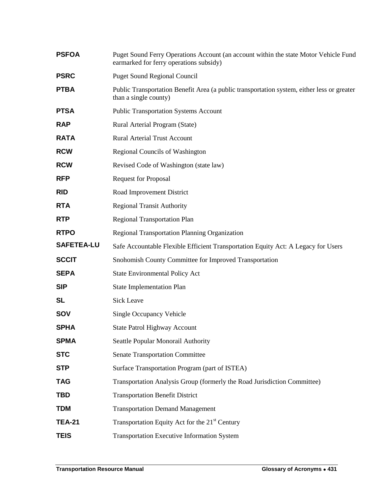| <b>PSFOA</b>      | Puget Sound Ferry Operations Account (an account within the state Motor Vehicle Fund<br>earmarked for ferry operations subsidy) |
|-------------------|---------------------------------------------------------------------------------------------------------------------------------|
| <b>PSRC</b>       | <b>Puget Sound Regional Council</b>                                                                                             |
| <b>PTBA</b>       | Public Transportation Benefit Area (a public transportation system, either less or greater<br>than a single county)             |
| <b>PTSA</b>       | <b>Public Transportation Systems Account</b>                                                                                    |
| <b>RAP</b>        | Rural Arterial Program (State)                                                                                                  |
| <b>RATA</b>       | <b>Rural Arterial Trust Account</b>                                                                                             |
| <b>RCW</b>        | Regional Councils of Washington                                                                                                 |
| <b>RCW</b>        | Revised Code of Washington (state law)                                                                                          |
| <b>RFP</b>        | <b>Request for Proposal</b>                                                                                                     |
| <b>RID</b>        | Road Improvement District                                                                                                       |
| <b>RTA</b>        | <b>Regional Transit Authority</b>                                                                                               |
| <b>RTP</b>        | <b>Regional Transportation Plan</b>                                                                                             |
| <b>RTPO</b>       | <b>Regional Transportation Planning Organization</b>                                                                            |
| <b>SAFETEA-LU</b> | Safe Accountable Flexible Efficient Transportation Equity Act: A Legacy for Users                                               |
| <b>SCCIT</b>      | Snohomish County Committee for Improved Transportation                                                                          |
| <b>SEPA</b>       | <b>State Environmental Policy Act</b>                                                                                           |
| <b>SIP</b>        | <b>State Implementation Plan</b>                                                                                                |
| <b>SL</b>         | <b>Sick Leave</b>                                                                                                               |
| SOV               | Single Occupancy Vehicle                                                                                                        |
| <b>SPHA</b>       | <b>State Patrol Highway Account</b>                                                                                             |
| <b>SPMA</b>       | Seattle Popular Monorail Authority                                                                                              |
| <b>STC</b>        | <b>Senate Transportation Committee</b>                                                                                          |
| <b>STP</b>        | Surface Transportation Program (part of ISTEA)                                                                                  |
| <b>TAG</b>        | Transportation Analysis Group (formerly the Road Jurisdiction Committee)                                                        |
| <b>TBD</b>        | <b>Transportation Benefit District</b>                                                                                          |
| <b>TDM</b>        | <b>Transportation Demand Management</b>                                                                                         |
| <b>TEA-21</b>     | Transportation Equity Act for the 21 <sup>st</sup> Century                                                                      |
| <b>TEIS</b>       | Transportation Executive Information System                                                                                     |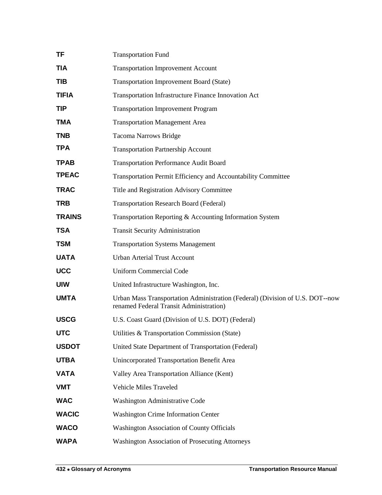| TF            | <b>Transportation Fund</b>                                                                                               |
|---------------|--------------------------------------------------------------------------------------------------------------------------|
| TIA           | <b>Transportation Improvement Account</b>                                                                                |
| TIB           | <b>Transportation Improvement Board (State)</b>                                                                          |
| <b>TIFIA</b>  | Transportation Infrastructure Finance Innovation Act                                                                     |
| TIP           | <b>Transportation Improvement Program</b>                                                                                |
| TMA           | <b>Transportation Management Area</b>                                                                                    |
| <b>TNB</b>    | <b>Tacoma Narrows Bridge</b>                                                                                             |
| TPA           | <b>Transportation Partnership Account</b>                                                                                |
| <b>TPAB</b>   | <b>Transportation Performance Audit Board</b>                                                                            |
| <b>TPEAC</b>  | Transportation Permit Efficiency and Accountability Committee                                                            |
| <b>TRAC</b>   | Title and Registration Advisory Committee                                                                                |
| <b>TRB</b>    | <b>Transportation Research Board (Federal)</b>                                                                           |
| <b>TRAINS</b> | Transportation Reporting & Accounting Information System                                                                 |
| TSA           | <b>Transit Security Administration</b>                                                                                   |
| <b>TSM</b>    | <b>Transportation Systems Management</b>                                                                                 |
| <b>UATA</b>   | <b>Urban Arterial Trust Account</b>                                                                                      |
| <b>UCC</b>    | <b>Uniform Commercial Code</b>                                                                                           |
| <b>UIW</b>    | United Infrastructure Washington, Inc.                                                                                   |
| <b>UMTA</b>   | Urban Mass Transportation Administration (Federal) (Division of U.S. DOT--now<br>renamed Federal Transit Administration) |
| <b>USCG</b>   | U.S. Coast Guard (Division of U.S. DOT) (Federal)                                                                        |
| <b>UTC</b>    | Utilities & Transportation Commission (State)                                                                            |
| <b>USDOT</b>  | United State Department of Transportation (Federal)                                                                      |
| <b>UTBA</b>   | Unincorporated Transportation Benefit Area                                                                               |
| <b>VATA</b>   | Valley Area Transportation Alliance (Kent)                                                                               |
| <b>VMT</b>    | Vehicle Miles Traveled                                                                                                   |
| <b>WAC</b>    | Washington Administrative Code                                                                                           |
| <b>WACIC</b>  | <b>Washington Crime Information Center</b>                                                                               |
| <b>WACO</b>   | <b>Washington Association of County Officials</b>                                                                        |
| <b>WAPA</b>   | <b>Washington Association of Prosecuting Attorneys</b>                                                                   |
|               |                                                                                                                          |